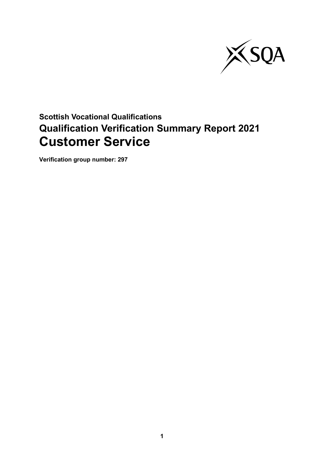

# **Scottish Vocational Qualifications Qualification Verification Summary Report 2021 Customer Service**

**Verification group number: 297**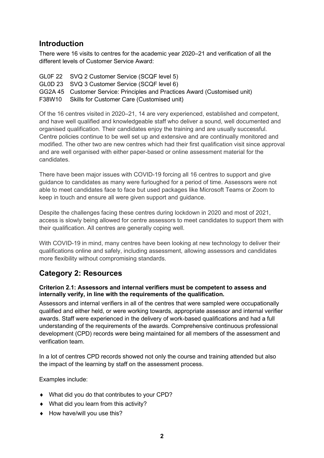# **Introduction**

There were 16 visits to centres for the academic year 2020–21 and verification of all the different levels of Customer Service Award:

GL0F 22 SVQ 2 Customer Service (SCQF level 5) GL0D 23 SVQ 3 Customer Service (SCQF level 6) GG2A 45 Customer Service: Principles and Practices Award (Customised unit) F38W10 Skills for Customer Care (Customised unit)

Of the 16 centres visited in 2020–21, 14 are very experienced, established and competent, and have well qualified and knowledgeable staff who deliver a sound, well documented and organised qualification. Their candidates enjoy the training and are usually successful. Centre policies continue to be well set up and extensive and are continually monitored and modified. The other two are new centres which had their first qualification visit since approval and are well organised with either paper-based or online assessment material for the candidates.

There have been major issues with COVID-19 forcing all 16 centres to support and give guidance to candidates as many were furloughed for a period of time. Assessors were not able to meet candidates face to face but used packages like Microsoft Teams or Zoom to keep in touch and ensure all were given support and guidance.

Despite the challenges facing these centres during lockdown in 2020 and most of 2021, access is slowly being allowed for centre assessors to meet candidates to support them with their qualification. All centres are generally coping well.

With COVID-19 in mind, many centres have been looking at new technology to deliver their qualifications online and safely, including assessment, allowing assessors and candidates more flexibility without compromising standards.

# **Category 2: Resources**

#### **Criterion 2.1: Assessors and internal verifiers must be competent to assess and internally verify, in line with the requirements of the qualification.**

Assessors and internal verifiers in all of the centres that were sampled were occupationally qualified and either held, or were working towards, appropriate assessor and internal verifier awards. Staff were experienced in the delivery of work-based qualifications and had a full understanding of the requirements of the awards. Comprehensive continuous professional development (CPD) records were being maintained for all members of the assessment and verification team.

In a lot of centres CPD records showed not only the course and training attended but also the impact of the learning by staff on the assessment process.

Examples include:

- ♦ What did you do that contributes to your CPD?
- ♦ What did you learn from this activity?
- ♦ How have/will you use this?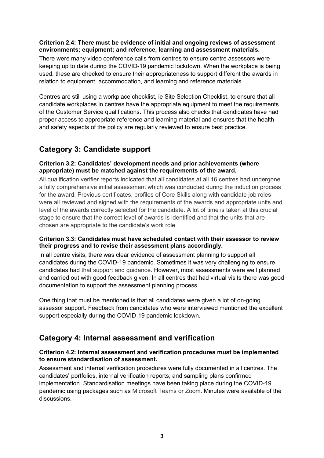#### **Criterion 2.4: There must be evidence of initial and ongoing reviews of assessment environments; equipment; and reference, learning and assessment materials.**

There were many video conference calls from centres to ensure centre assessors were keeping up to date during the COVID-19 pandemic lockdown. When the workplace is being used, these are checked to ensure their appropriateness to support different the awards in relation to equipment, accommodation, and learning and reference materials.

Centres are still using a workplace checklist, ie Site Selection Checklist, to ensure that all candidate workplaces in centres have the appropriate equipment to meet the requirements of the Customer Service qualifications. This process also checks that candidates have had proper access to appropriate reference and learning material and ensures that the health and safety aspects of the policy are regularly reviewed to ensure best practice.

# **Category 3: Candidate support**

#### **Criterion 3.2: Candidates' development needs and prior achievements (where appropriate) must be matched against the requirements of the award.**

All qualification verifier reports indicated that all candidates at all 16 centres had undergone a fully comprehensive initial assessment which was conducted during the induction process for the award. Previous certificates, profiles of Core Skills along with candidate job roles were all reviewed and signed with the requirements of the awards and appropriate units and level of the awards correctly selected for the candidate. A lot of time is taken at this crucial stage to ensure that the correct level of awards is identified and that the units that are chosen are appropriate to the candidate's work role.

#### **Criterion 3.3: Candidates must have scheduled contact with their assessor to review their progress and to revise their assessment plans accordingly.**

In all centre visits, there was clear evidence of assessment planning to support all candidates during the COVID-19 pandemic. Sometimes it was very challenging to ensure candidates had that support and guidance. However, most assessments were well planned and carried out with good feedback given. In all centres that had virtual visits there was good documentation to support the assessment planning process.

One thing that must be mentioned is that all candidates were given a lot of on-going assessor support. Feedback from candidates who were interviewed mentioned the excellent support especially during the COVID-19 pandemic lockdown.

# **Category 4: Internal assessment and verification**

#### **Criterion 4.2: Internal assessment and verification procedures must be implemented to ensure standardisation of assessment.**

Assessment and internal verification procedures were fully documented in all centres. The candidates' portfolios, internal verification reports, and sampling plans confirmed implementation. Standardisation meetings have been taking place during the COVID-19 pandemic using packages such as Microsoft Teams or Zoom. Minutes were available of the discussions.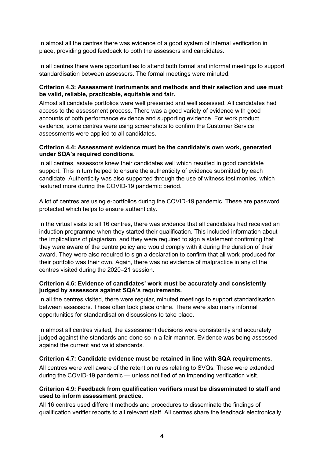In almost all the centres there was evidence of a good system of internal verification in place, providing good feedback to both the assessors and candidates.

In all centres there were opportunities to attend both formal and informal meetings to support standardisation between assessors. The formal meetings were minuted.

#### **Criterion 4.3: Assessment instruments and methods and their selection and use must be valid, reliable, practicable, equitable and fair.**

Almost all candidate portfolios were well presented and well assessed. All candidates had access to the assessment process. There was a good variety of evidence with good accounts of both performance evidence and supporting evidence. For work product evidence, some centres were using screenshots to confirm the Customer Service assessments were applied to all candidates.

#### **Criterion 4.4: Assessment evidence must be the candidate's own work, generated under SQA's required conditions.**

In all centres, assessors knew their candidates well which resulted in good candidate support. This in turn helped to ensure the authenticity of evidence submitted by each candidate. Authenticity was also supported through the use of witness testimonies, which featured more during the COVID-19 pandemic period.

A lot of centres are using e-portfolios during the COVID-19 pandemic. These are password protected which helps to ensure authenticity.

In the virtual visits to all 16 centres, there was evidence that all candidates had received an induction programme when they started their qualification. This included information about the implications of plagiarism, and they were required to sign a statement confirming that they were aware of the centre policy and would comply with it during the duration of their award. They were also required to sign a declaration to confirm that all work produced for their portfolio was their own. Again, there was no evidence of malpractice in any of the centres visited during the 2020–21 session.

#### **Criterion 4.6: Evidence of candidates' work must be accurately and consistently judged by assessors against SQA's requirements.**

In all the centres visited, there were regular, minuted meetings to support standardisation between assessors. These often took place online. There were also many informal opportunities for standardisation discussions to take place.

In almost all centres visited, the assessment decisions were consistently and accurately judged against the standards and done so in a fair manner. Evidence was being assessed against the current and valid standards.

#### **Criterion 4.7: Candidate evidence must be retained in line with SQA requirements.**

All centres were well aware of the retention rules relating to SVQs. These were extended during the COVID-19 pandemic — unless notified of an impending verification visit.

#### **Criterion 4.9: Feedback from qualification verifiers must be disseminated to staff and used to inform assessment practice.**

All 16 centres used different methods and procedures to disseminate the findings of qualification verifier reports to all relevant staff. All centres share the feedback electronically